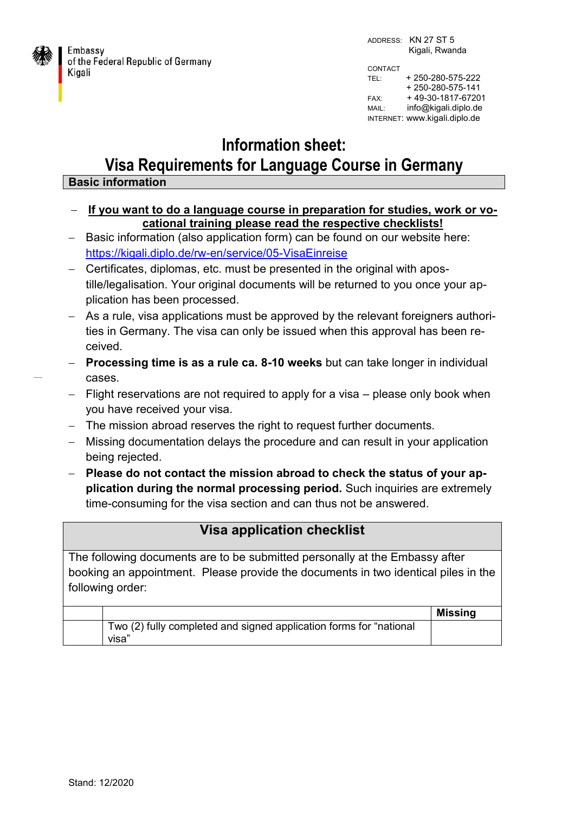

Embassy of the Federal Republic of Germany Kigali

ADDRESS: KN 27 ST 5 Kigali, Rwanda CONTACT TEL: + 250-280-575-222 + 250-280-575-141 FAX: + 49-30-1817-67201 MAIL: info@kigali.diplo.de

INTERNET: www.kigali.diplo.de

## **Information sheet: Visa Requirements for Language Course in Germany**

## **Basic information**

- **If you want to do a language course in preparation for studies, work or vocational training please read the respective checklists!**
- Basic information (also application form) can be found on our website here: <https://kigali.diplo.de/rw-en/service/05-VisaEinreise>
- Certificates, diplomas, etc. must be presented in the original with apostille/legalisation. Your original documents will be returned to you once your application has been processed.
- As a rule, visa applications must be approved by the relevant foreigners authorities in Germany. The visa can only be issued when this approval has been received.
- **Processing time is as a rule ca. 8-10 weeks** but can take longer in individual cases.
- Flight reservations are not required to apply for a visa please only book when you have received your visa.
- The mission abroad reserves the right to request further documents.
- Missing documentation delays the procedure and can result in your application being rejected.
- **Please do not contact the mission abroad to check the status of your application during the normal processing period.** Such inquiries are extremely time-consuming for the visa section and can thus not be answered.

## **Visa application checklist**

The following documents are to be submitted personally at the Embassy after booking an appointment. Please provide the documents in two identical piles in the following order:

|                                                                             | <b>Missing</b> |
|-----------------------------------------------------------------------------|----------------|
| Two (2) fully completed and signed application forms for "national<br>visa" |                |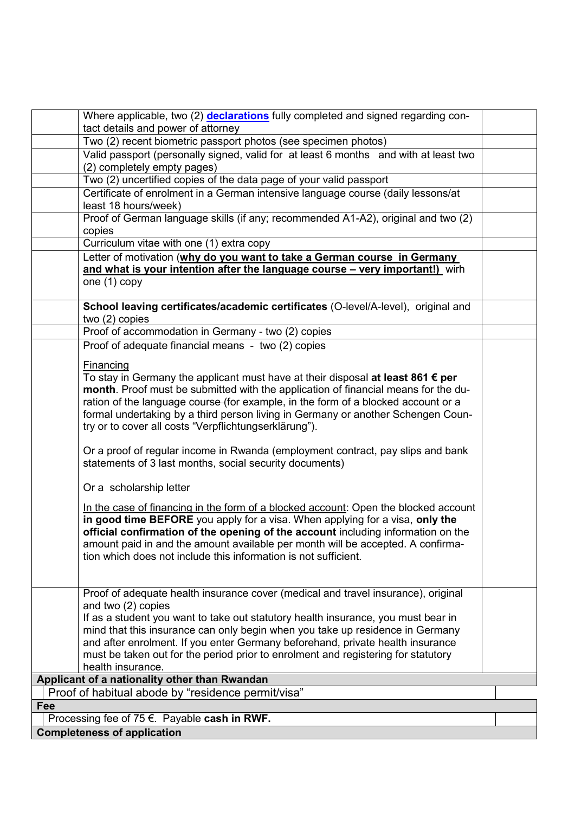| Where applicable, two (2) <b>declarations</b> fully completed and signed regarding con-                                                                                                                                                                                                                                                                                                                       |  |  |  |
|---------------------------------------------------------------------------------------------------------------------------------------------------------------------------------------------------------------------------------------------------------------------------------------------------------------------------------------------------------------------------------------------------------------|--|--|--|
| tact details and power of attorney                                                                                                                                                                                                                                                                                                                                                                            |  |  |  |
| Two (2) recent biometric passport photos (see specimen photos)                                                                                                                                                                                                                                                                                                                                                |  |  |  |
| Valid passport (personally signed, valid for at least 6 months and with at least two                                                                                                                                                                                                                                                                                                                          |  |  |  |
| (2) completely empty pages)                                                                                                                                                                                                                                                                                                                                                                                   |  |  |  |
| Two (2) uncertified copies of the data page of your valid passport                                                                                                                                                                                                                                                                                                                                            |  |  |  |
| Certificate of enrolment in a German intensive language course (daily lessons/at<br>least 18 hours/week)                                                                                                                                                                                                                                                                                                      |  |  |  |
| Proof of German language skills (if any; recommended A1-A2), original and two (2)<br>copies                                                                                                                                                                                                                                                                                                                   |  |  |  |
| Curriculum vitae with one (1) extra copy                                                                                                                                                                                                                                                                                                                                                                      |  |  |  |
| Letter of motivation (why do you want to take a German course in Germany                                                                                                                                                                                                                                                                                                                                      |  |  |  |
| and what is your intention after the language course - very important!) wirh                                                                                                                                                                                                                                                                                                                                  |  |  |  |
| one (1) copy                                                                                                                                                                                                                                                                                                                                                                                                  |  |  |  |
| School leaving certificates/academic certificates (O-level/A-level), original and<br>two $(2)$ copies                                                                                                                                                                                                                                                                                                         |  |  |  |
| Proof of accommodation in Germany - two (2) copies                                                                                                                                                                                                                                                                                                                                                            |  |  |  |
| Proof of adequate financial means - two (2) copies                                                                                                                                                                                                                                                                                                                                                            |  |  |  |
| Financing                                                                                                                                                                                                                                                                                                                                                                                                     |  |  |  |
| To stay in Germany the applicant must have at their disposal at least 861 € per<br>month. Proof must be submitted with the application of financial means for the du-<br>ration of the language course-(for example, in the form of a blocked account or a<br>formal undertaking by a third person living in Germany or another Schengen Coun-<br>try or to cover all costs "Verpflichtungserklärung").       |  |  |  |
| Or a proof of regular income in Rwanda (employment contract, pay slips and bank<br>statements of 3 last months, social security documents)                                                                                                                                                                                                                                                                    |  |  |  |
| Or a scholarship letter                                                                                                                                                                                                                                                                                                                                                                                       |  |  |  |
| In the case of financing in the form of a blocked account: Open the blocked account<br>in good time BEFORE you apply for a visa. When applying for a visa, only the<br>official confirmation of the opening of the account including information on the<br>amount paid in and the amount available per month will be accepted. A confirma-<br>tion which does not include this information is not sufficient. |  |  |  |
| Proof of adequate health insurance cover (medical and travel insurance), original                                                                                                                                                                                                                                                                                                                             |  |  |  |
| and two (2) copies                                                                                                                                                                                                                                                                                                                                                                                            |  |  |  |
| If as a student you want to take out statutory health insurance, you must bear in                                                                                                                                                                                                                                                                                                                             |  |  |  |
| mind that this insurance can only begin when you take up residence in Germany                                                                                                                                                                                                                                                                                                                                 |  |  |  |
| and after enrolment. If you enter Germany beforehand, private health insurance                                                                                                                                                                                                                                                                                                                                |  |  |  |
| must be taken out for the period prior to enrolment and registering for statutory                                                                                                                                                                                                                                                                                                                             |  |  |  |
| health insurance.                                                                                                                                                                                                                                                                                                                                                                                             |  |  |  |
| Applicant of a nationality other than Rwandan                                                                                                                                                                                                                                                                                                                                                                 |  |  |  |
| Proof of habitual abode by "residence permit/visa"                                                                                                                                                                                                                                                                                                                                                            |  |  |  |
| Fee                                                                                                                                                                                                                                                                                                                                                                                                           |  |  |  |
| Processing fee of 75 €. Payable cash in RWF.                                                                                                                                                                                                                                                                                                                                                                  |  |  |  |
| <b>Completeness of application</b>                                                                                                                                                                                                                                                                                                                                                                            |  |  |  |